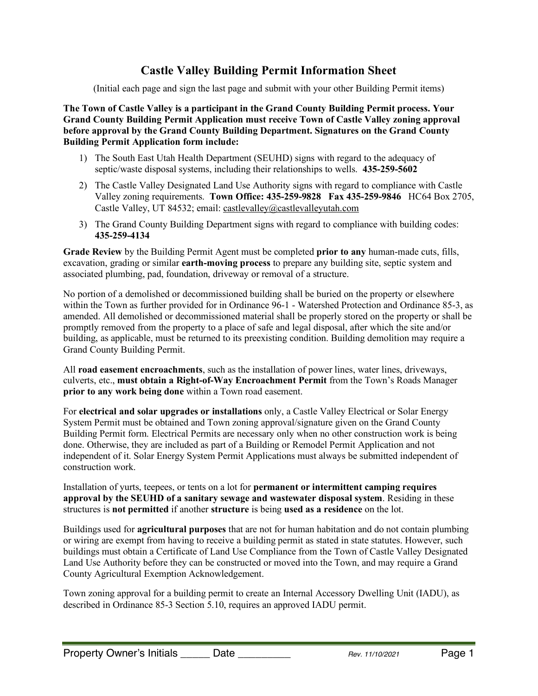# **Castle Valley Building Permit Information Sheet**

(Initial each page and sign the last page and submit with your other Building Permit items)

**The Town of Castle Valley is a participant in the Grand County Building Permit process. Your Grand County Building Permit Application must receive Town of Castle Valley zoning approval before approval by the Grand County Building Department. Signatures on the Grand County Building Permit Application form include:**

- 1) The South East Utah Health Department (SEUHD) signs with regard to the adequacy of septic/waste disposal systems, including their relationships to wells. **435-259-5602**
- 2) The Castle Valley Designated Land Use Authority signs with regard to compliance with Castle Valley zoning requirements. **Town Office: 435-259-9828 Fax 435-259-9846** HC64 Box 2705, Castle Valley, UT 84532; email: castlevalley@castlevalleyutah.com
- 3) The Grand County Building Department signs with regard to compliance with building codes: **435-259-4134**

**Grade Review** by the Building Permit Agent must be completed **prior to any** human-made cuts, fills, excavation, grading or similar **earth-moving process** to prepare any building site, septic system and associated plumbing, pad, foundation, driveway or removal of a structure.

No portion of a demolished or decommissioned building shall be buried on the property or elsewhere within the Town as further provided for in Ordinance 96-1 - Watershed Protection and Ordinance 85-3, as amended. All demolished or decommissioned material shall be properly stored on the property or shall be promptly removed from the property to a place of safe and legal disposal, after which the site and/or building, as applicable, must be returned to its preexisting condition. Building demolition may require a Grand County Building Permit.

All **road easement encroachments**, such as the installation of power lines, water lines, driveways, culverts, etc., **must obtain a Right-of-Way Encroachment Permit** from the Town's Roads Manager **prior to any work being done** within a Town road easement.

For **electrical and solar upgrades or installations** only, a Castle Valley Electrical or Solar Energy System Permit must be obtained and Town zoning approval/signature given on the Grand County Building Permit form. Electrical Permits are necessary only when no other construction work is being done. Otherwise, they are included as part of a Building or Remodel Permit Application and not independent of it. Solar Energy System Permit Applications must always be submitted independent of construction work.

Installation of yurts, teepees, or tents on a lot for **permanent or intermittent camping requires approval by the SEUHD of a sanitary sewage and wastewater disposal system**. Residing in these structures is **not permitted** if another **structure** is being **used as a residence** on the lot.

Buildings used for **agricultural purposes** that are not for human habitation and do not contain plumbing or wiring are exempt from having to receive a building permit as stated in state statutes. However, such buildings must obtain a Certificate of Land Use Compliance from the Town of Castle Valley Designated Land Use Authority before they can be constructed or moved into the Town, and may require a Grand County Agricultural Exemption Acknowledgement.

Town zoning approval for a building permit to create an Internal Accessory Dwelling Unit (IADU), as described in Ordinance 85-3 Section 5.10, requires an approved IADU permit.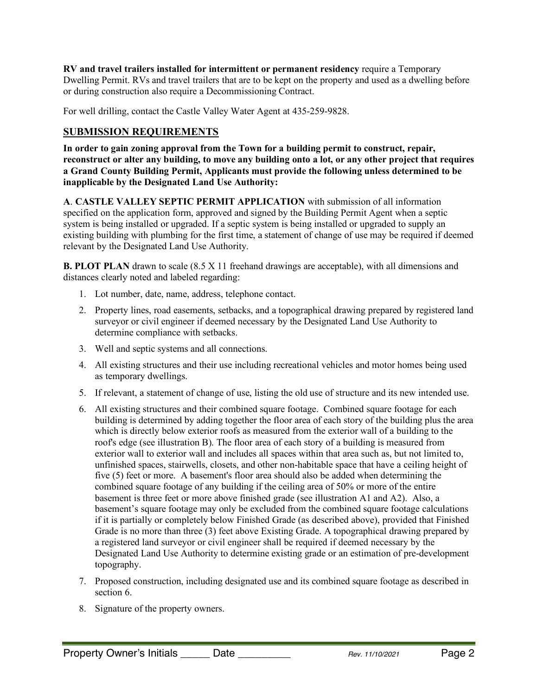**RV and travel trailers installed for intermittent or permanent residency** require a Temporary Dwelling Permit. RVs and travel trailers that are to be kept on the property and used as a dwelling before or during construction also require a Decommissioning Contract.

For well drilling, contact the Castle Valley Water Agent at 435-259-9828.

# **SUBMISSION REQUIREMENTS**

**In order to gain zoning approval from the Town for a building permit to construct, repair,** reconstruct or alter any building, to move any building onto a lot, or any other project that requires **a Grand County Building Permit, Applicants must provide the following unless determined to be inapplicable by the Designated Land Use Authority:**

**A**. **CASTLE VALLEY SEPTIC PERMIT APPLICATION** with submission of all information specified on the application form, approved and signed by the Building Permit Agent when a septic system is being installed or upgraded. If a septic system is being installed or upgraded to supply an existing building with plumbing for the first time, a statement of change of use may be required if deemed relevant by the Designated Land Use Authority.

**B. PLOT PLAN** drawn to scale (8.5 X 11 freehand drawings are acceptable), with all dimensions and distances clearly noted and labeled regarding:

- 1. Lot number, date, name, address, telephone contact.
- 2. Property lines, road easements, setbacks, and a topographical drawing prepared by registered land surveyor or civil engineer if deemed necessary by the Designated Land Use Authority to determine compliance with setbacks.
- 3. Well and septic systems and all connections.
- 4. All existing structures and their use including recreational vehicles and motor homes being used as temporary dwellings.
- 5. If relevant, a statement of change of use, listing the old use of structure and its new intended use.
- 6. All existing structures and their combined square footage. Combined square footage for each building is determined by adding together the floor area of each story of the building plus the area which is directly below exterior roofs as measured from the exterior wall of a building to the roof's edge (see illustration B). The floor area of each story of a building is measured from exterior wall to exterior wall and includes all spaces within that area such as, but not limited to, unfinished spaces, stairwells, closets, and other non-habitable space that have a ceiling height of five (5) feet or more. A basement's floor area should also be added when determining the combined square footage of any building if the ceiling area of 50% or more of the entire basement is three feet or more above finished grade (see illustration A1 and A2). Also, a basement's square footage may only be excluded from the combined square footage calculations if it is partially or completely below Finished Grade (as described above), provided that Finished Grade is no more than three (3) feet above Existing Grade. A topographical drawing prepared by a registered land surveyor or civil engineer shall be required if deemed necessary by the Designated Land Use Authority to determine existing grade or an estimation of pre-development topography.
- 7. Proposed construction, including designated use and its combined square footage as described in section 6.
- 8. Signature of the property owners.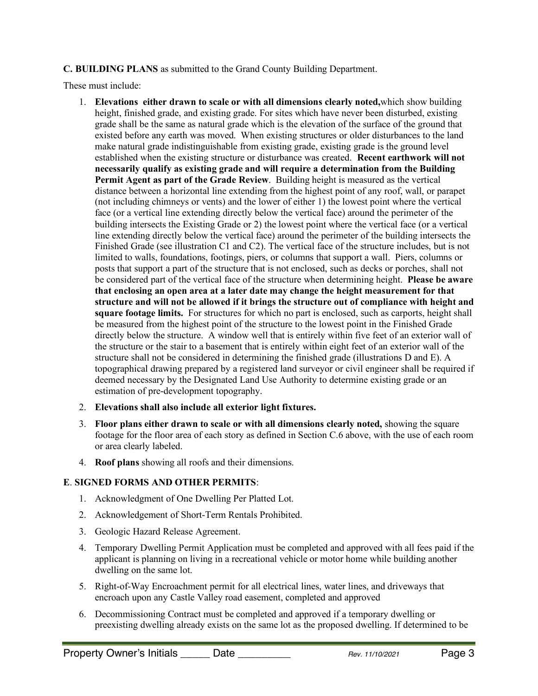**C. BUILDING PLANS** as submitted to the Grand County Building Department.

These must include:

- 1. **Elevations either drawn to scale or with all dimensions clearly noted,**which show building height, finished grade, and existing grade. For sites which have never been disturbed, existing grade shall be the same as natural grade which is the elevation of the surface of the ground that existed before any earth was moved. When existing structures or older disturbances to the land make natural grade indistinguishable from existing grade, existing grade is the ground level established when the existing structure or disturbance was created. **Recent earthwork will not necessarily qualify as existing grade and will require a determination from the Building Permit Agent as part of the Grade Review**. Building height is measured as the vertical distance between a horizontal line extending from the highest point of any roof, wall, or parapet (not including chimneys or vents) and the lower of either 1) the lowest point where the vertical face (or a vertical line extending directly below the vertical face) around the perimeter of the building intersects the Existing Grade or 2) the lowest point where the vertical face (or a vertical line extending directly below the vertical face) around the perimeter of the building intersects the Finished Grade (see illustration C1 and C2). The vertical face of the structure includes, but is not limited to walls, foundations, footings, piers, or columns that support a wall. Piers, columns or posts that support a part of the structure that is not enclosed, such as decks or porches, shall not be considered part of the vertical face of the structure when determining height. **Please be aware that enclosing an open area at a later date may change the height measurement for that structure and will not be allowed if it brings the structure out of compliance with height and square footage limits.** For structures for which no part is enclosed, such as carports, height shall be measured from the highest point of the structure to the lowest point in the Finished Grade directly below the structure. A window well that is entirely within five feet of an exterior wall of the structure or the stair to a basement that is entirely within eight feet of an exterior wall of the structure shall not be considered in determining the finished grade (illustrations D and E). A topographical drawing prepared by a registered land surveyor or civil engineer shall be required if deemed necessary by the Designated Land Use Authority to determine existing grade or an estimation of pre-development topography.
- 2. **Elevations shall also include all exterior light fixtures.**
- 3. **Floor plans either drawn to scale or with all dimensions clearly noted,** showing the square footage for the floor area of each story as defined in Section C.6 above, with the use of each room or area clearly labeled.
- 4. **Roof plans** showing all roofs and their dimensions.

### **E**. **SIGNED FORMS AND OTHER PERMITS**:

- 1. Acknowledgment of One Dwelling Per Platted Lot.
- 2. Acknowledgement of Short-Term Rentals Prohibited.
- 3. Geologic Hazard Release Agreement.
- 4. Temporary Dwelling Permit Application must be completed and approved with all fees paid if the applicant is planning on living in a recreational vehicle or motor home while building another dwelling on the same lot.
- 5. Right-of-Way Encroachment permit for all electrical lines, water lines, and driveways that encroach upon any Castle Valley road easement, completed and approved
- 6. Decommissioning Contract must be completed and approved if a temporary dwelling or preexisting dwelling already exists on the same lot as the proposed dwelling. If determined to be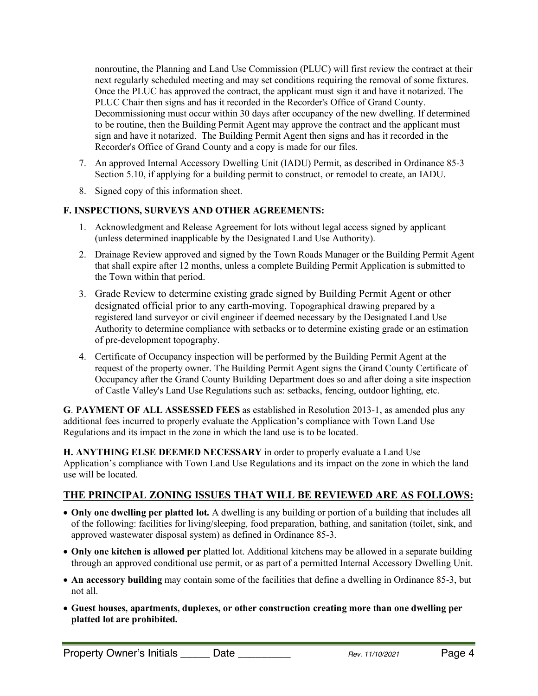nonroutine, the Planning and Land Use Commission (PLUC) will first review the contract at their next regularly scheduled meeting and may set conditions requiring the removal of some fixtures. Once the PLUC has approved the contract, the applicant must sign it and have it notarized. The PLUC Chair then signs and has it recorded in the Recorder's Office of Grand County. Decommissioning must occur within 30 days after occupancy of the new dwelling. If determined to be routine, then the Building Permit Agent may approve the contract and the applicant must sign and have it notarized. The Building Permit Agent then signs and has it recorded in the Recorder's Office of Grand County and a copy is made for our files.

- 7. An approved Internal Accessory Dwelling Unit (IADU) Permit, as described in Ordinance 85-3 Section 5.10, if applying for a building permit to construct, or remodel to create, an IADU.
- 8. Signed copy of this information sheet.

#### **F. INSPECTIONS, SURVEYS AND OTHER AGREEMENTS:**

- 1. Acknowledgment and Release Agreement for lots without legal access signed by applicant (unless determined inapplicable by the Designated Land Use Authority).
- 2. Drainage Review approved and signed by the Town Roads Manager or the Building Permit Agent that shall expire after 12 months, unless a complete Building Permit Application is submitted to the Town within that period.
- 3. Grade Review to determine existing grade signed by Building Permit Agent or other designated official prior to any earth-moving. Topographical drawing prepared by a registered land surveyor or civil engineer if deemed necessary by the Designated Land Use Authority to determine compliance with setbacks or to determine existing grade or an estimation of pre-development topography.
- 4. Certificate of Occupancy inspection will be performed by the Building Permit Agent at the request of the property owner. The Building Permit Agent signs the Grand County Certificate of Occupancy after the Grand County Building Department does so and after doing a site inspection of Castle Valley's Land Use Regulations such as: setbacks, fencing, outdoor lighting, etc.

**G**. **PAYMENT OF ALL ASSESSED FEES** as established in Resolution 2013-1, as amended plus any additional fees incurred to properly evaluate the Application's compliance with Town Land Use Regulations and its impact in the zone in which the land use is to be located.

**H. ANYTHING ELSE DEEMED NECESSARY** in order to properly evaluate a Land Use Application's compliance with Town Land Use Regulations and its impact on the zone in which the land use will be located.

## **THE PRINCIPAL ZONING ISSUES THAT WILL BE REVIEWED ARE AS FOLLOWS:**

- **Only one dwelling per platted lot.** A dwelling is any building or portion of a building that includes all of the following: facilities for living/sleeping, food preparation, bathing, and sanitation (toilet, sink, and approved wastewater disposal system) as defined in Ordinance 85-3.
- **Only one kitchen is allowed per** platted lot. Additional kitchens may be allowed in a separate building through an approved conditional use permit, or as part of a permitted Internal Accessory Dwelling Unit.
- **An accessory building** may contain some of the facilities that define a dwelling in Ordinance 85-3, but not all.
- **Guest houses, apartments, duplexes, or other construction creating more than one dwelling per platted lot are prohibited.**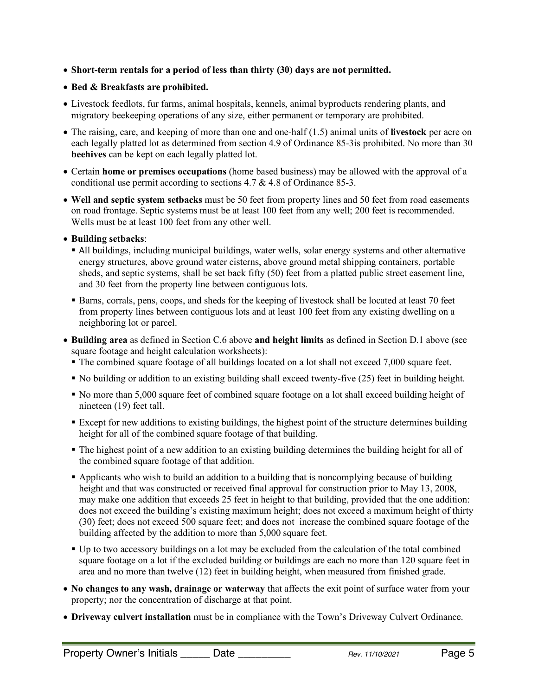• **Short-term rentals for a period of less than thirty (30) days are not permitted.** 

### • **Bed & Breakfasts are prohibited.**

- Livestock feedlots, fur farms, animal hospitals, kennels, animal byproducts rendering plants, and migratory beekeeping operations of any size, either permanent or temporary are prohibited.
- The raising, care, and keeping of more than one and one-half (1.5) animal units of **livestock** per acre on each legally platted lot as determined from section 4.9 of Ordinance 85-3is prohibited. No more than 30 **beehives** can be kept on each legally platted lot.
- Certain **home or premises occupations** (home based business) may be allowed with the approval of a conditional use permit according to sections 4.7 & 4.8 of Ordinance 85-3.
- **Well and septic system setbacks** must be 50 feet from property lines and 50 feet from road easements on road frontage. Septic systems must be at least 100 feet from any well; 200 feet is recommended. Wells must be at least 100 feet from any other well.
- **Building setbacks**:
	- All buildings, including municipal buildings, water wells, solar energy systems and other alternative energy structures, above ground water cisterns, above ground metal shipping containers, portable sheds, and septic systems, shall be set back fifty (50) feet from a platted public street easement line, and 30 feet from the property line between contiguous lots.
	- § Barns, corrals, pens, coops, and sheds for the keeping of livestock shall be located at least 70 feet from property lines between contiguous lots and at least 100 feet from any existing dwelling on a neighboring lot or parcel.
- **Building area** as defined in Section C.6 above **and height limits** as defined in Section D.1 above (see square footage and height calculation worksheets):
	- The combined square footage of all buildings located on a lot shall not exceed 7,000 square feet.
	- § No building or addition to an existing building shall exceed twenty-five (25) feet in building height.
	- § No more than 5,000 square feet of combined square footage on a lot shall exceed building height of nineteen (19) feet tall.
	- § Except for new additions to existing buildings, the highest point of the structure determines building height for all of the combined square footage of that building.
	- The highest point of a new addition to an existing building determines the building height for all of the combined square footage of that addition.
	- § Applicants who wish to build an addition to a building that is noncomplying because of building height and that was constructed or received final approval for construction prior to May 13, 2008, may make one addition that exceeds 25 feet in height to that building, provided that the one addition: does not exceed the building's existing maximum height; does not exceed a maximum height of thirty (30) feet; does not exceed 500 square feet; and does not increase the combined square footage of the building affected by the addition to more than 5,000 square feet.
	- § Up to two accessory buildings on a lot may be excluded from the calculation of the total combined square footage on a lot if the excluded building or buildings are each no more than 120 square feet in area and no more than twelve (12) feet in building height, when measured from finished grade.
- **No changes to any wash, drainage or waterway** that affects the exit point of surface water from your property; nor the concentration of discharge at that point.
- **Driveway culvert installation** must be in compliance with the Town's Driveway Culvert Ordinance.